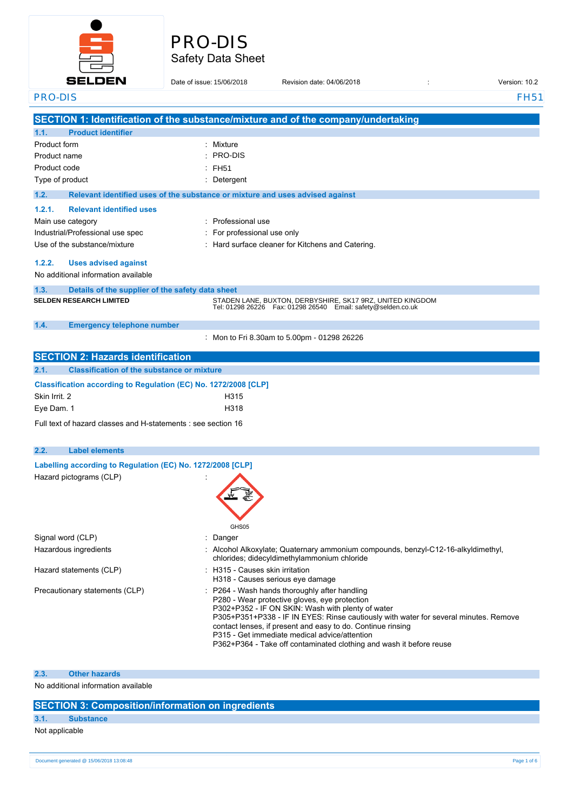

# Safety Data Sheet PRO-DIS

## **SELDEN** Date of issue: 15/06/2018 Provision date: 04/06/2018 **issue: Revision: 10.2** PRO-DIS FH51 **SECTION 1: Identification of the substance/mixture and of the company/undertaking 1.1. Product identifier** Product form **: Mixture**  $\cdot$  PRO-DIS Product name : Product code : FH51 Type of product in the contract of the contract of the contract of the contract of the Detergent **1.2. Relevant identified uses of the substance or mixture and uses advised against 1.2.1. Relevant identified uses** Main use category **interest and the COV** Main use Category **:** Professional use Industrial/Professional use spec : For professional use only Use of the substance/mixture  $\cdot$  Hard surface cleaner for Kitchens and Catering. **1.2.2. Uses advised against** No additional information available **1.3. Details of the supplier of the safety data sheet SELDEN RESEARCH LIMITED** STADEN LANE, BUXTON, DERBYSHIRE, SK17 9RZ, UNITED KINGDOM Tel: 01298 26226 Fax: 01298 26540 Email: safety@selden.co.uk **1.4. Emergency telephone number** : Mon to Fri 8.30am to 5.00pm - 01298 26226 **SECTION 2: Hazards identification 2.1. Classification of the substance or mixture Classification according to Regulation (EC) No. 1272/2008 [CLP]** Skin Irrit. 2 H315 Eye Dam. 1 H318 Full text of hazard classes and H-statements : see section 16 **2.2. Label elements Labelling according to Regulation** (EC) No. 1272/2008 **[CLP]** Hazard pictograms (CLP) : GHS<sub>05</sub> Signal word (CLP) : Danger Hazardous ingredients **in the state of the Collamonia**: Alcohol Alkoxylate; Quaternary ammonium compounds, benzyl-C12-16-alkyldimethyl, chlorides; didecyldimethylammonium chloride Hazard statements (CLP)  $\qquad \qquad$ : H315 - Causes skin irritation H318 - Causes serious eye damage Precautionary statements (CLP) : P264 - Wash hands thoroughly after handling P280 - Wear protective gloves, eye protection P302+P352 - IF ON SKIN: Wash with plenty of water P305+P351+P338 - IF IN EYES: Rinse cautiously with water for several minutes. Remove contact lenses, if present and easy to do. Continue rinsing P315 - Get immediate medical advice/attention P362+P364 - Take off contaminated clothing and wash it before reuse

#### **2.3. Other hazards**

No additional information available

#### **SECTION 3: Composition/information on ingredients**

## **3.1. Substance**

Not applicable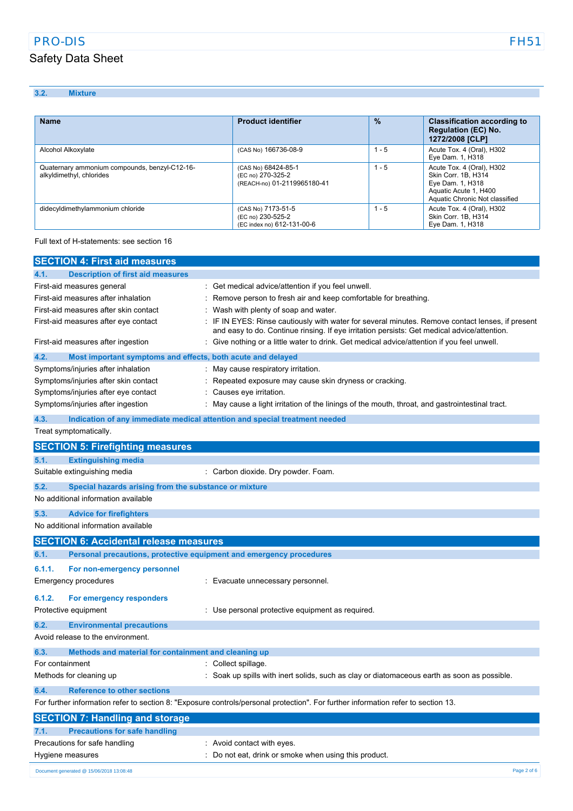## PRO-DIS FH51

## Safety Data Sheet

**3.2. Mixture**

**Rightane External Product Product identifier 1989 12 Classification according to Regulation (EC) No. 1272/2008 [CLP]** Alcohol Alkoxylate (CAS No) 166736-08-9 1 - 5 Acute Tox. 4 (Oral), H302 Eye Dam. 1, H318 Quaternary ammonium compounds, benzyl-C12-16 alkyldimethyl, chlorides (CAS No) 68424-85-1 (EC no) 270-325-2 (REACH-no) 01-2119965180-41 1 - 5 **Acute Tox. 4 (Oral), H302** Skin Corr. 1B, H314 Eye Dam. 1, H318 Aquatic Acute 1, H400 Aquatic Chronic Not classified didecyldimethylammonium chloride (CAS No) 7173-51-5<br>(EC no) 230-525-2 (EC index no) 612-131-00-6 1 - 5 **Acute Tox. 4 (Oral), H302** Skin Corr. 1B, H314 Eye Dam. 1, H318

Full text of H-statements: see section 16

| <b>SECTION 4: First aid measures</b>                                               |                                                                                                                                                                                               |
|------------------------------------------------------------------------------------|-----------------------------------------------------------------------------------------------------------------------------------------------------------------------------------------------|
| <b>Description of first aid measures</b><br>4.1.                                   |                                                                                                                                                                                               |
| First-aid measures general                                                         | Get medical advice/attention if you feel unwell.                                                                                                                                              |
| First-aid measures after inhalation                                                | Remove person to fresh air and keep comfortable for breathing.                                                                                                                                |
| First-aid measures after skin contact                                              | Wash with plenty of soap and water.                                                                                                                                                           |
| First-aid measures after eye contact                                               | IF IN EYES: Rinse cautiously with water for several minutes. Remove contact lenses, if present<br>and easy to do. Continue rinsing. If eye irritation persists: Get medical advice/attention. |
| First-aid measures after ingestion                                                 | Give nothing or a little water to drink. Get medical advice/attention if you feel unwell.                                                                                                     |
| 4.2.<br>Most important symptoms and effects, both acute and delayed                |                                                                                                                                                                                               |
| Symptoms/injuries after inhalation                                                 | May cause respiratory irritation.                                                                                                                                                             |
| Symptoms/injuries after skin contact                                               | Repeated exposure may cause skin dryness or cracking.                                                                                                                                         |
| Symptoms/injuries after eye contact                                                | Causes eye irritation.                                                                                                                                                                        |
| Symptoms/injuries after ingestion                                                  | May cause a light irritation of the linings of the mouth, throat, and gastrointestinal tract.                                                                                                 |
| Indication of any immediate medical attention and special treatment needed<br>4.3. |                                                                                                                                                                                               |
| Treat symptomatically.                                                             |                                                                                                                                                                                               |
| <b>SECTION 5: Firefighting measures</b>                                            |                                                                                                                                                                                               |
| 5.1.<br><b>Extinguishing media</b>                                                 |                                                                                                                                                                                               |
| Suitable extinguishing media                                                       | : Carbon dioxide. Dry powder. Foam.                                                                                                                                                           |
| 5.2.<br>Special hazards arising from the substance or mixture                      |                                                                                                                                                                                               |
| No additional information available                                                |                                                                                                                                                                                               |
| 5.3.<br><b>Advice for firefighters</b>                                             |                                                                                                                                                                                               |
| No additional information available                                                |                                                                                                                                                                                               |
| <b>SECTION 6: Accidental release measures</b>                                      |                                                                                                                                                                                               |
| Personal precautions, protective equipment and emergency procedures<br>6.1.        |                                                                                                                                                                                               |
| 6.1.1.<br>For non-emergency personnel                                              |                                                                                                                                                                                               |
| <b>Emergency procedures</b>                                                        | : Evacuate unnecessary personnel.                                                                                                                                                             |
| 6.1.2.<br>For emergency responders                                                 |                                                                                                                                                                                               |
| Protective equipment                                                               | : Use personal protective equipment as required.                                                                                                                                              |
| 6.2.<br><b>Environmental precautions</b>                                           |                                                                                                                                                                                               |
| Avoid release to the environment.                                                  |                                                                                                                                                                                               |
| 6.3.<br>Methods and material for containment and cleaning up                       |                                                                                                                                                                                               |
| For containment                                                                    | Collect spillage.                                                                                                                                                                             |
| Methods for cleaning up                                                            | : Soak up spills with inert solids, such as clay or diatomaceous earth as soon as possible.                                                                                                   |
| <b>Reference to other sections</b><br>6.4.                                         |                                                                                                                                                                                               |
|                                                                                    | For further information refer to section 8: "Exposure controls/personal protection". For further information refer to section 13.                                                             |
| <b>SECTION 7: Handling and storage</b>                                             |                                                                                                                                                                                               |
| <b>Precautions for safe handling</b><br>7.1.                                       |                                                                                                                                                                                               |
| Precautions for safe handling                                                      | : Avoid contact with eyes.                                                                                                                                                                    |
| Hygiene measures                                                                   | Do not eat, drink or smoke when using this product.                                                                                                                                           |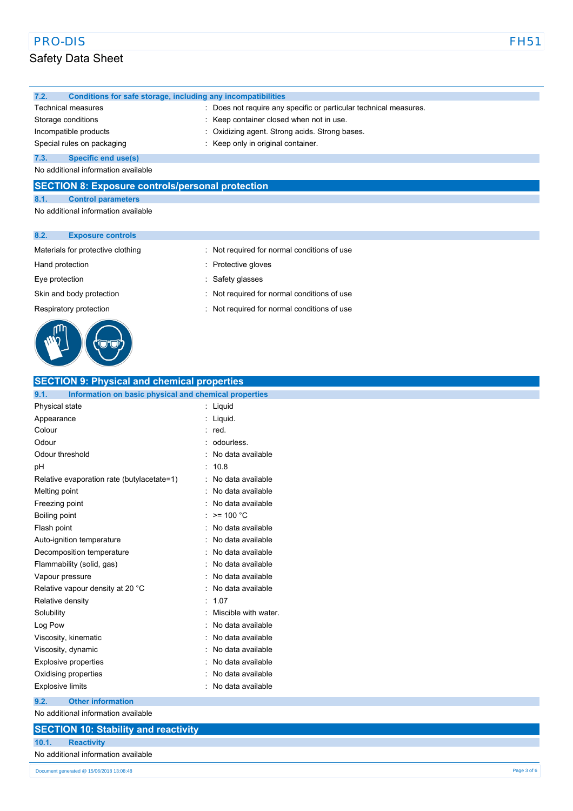# Safety Data Sheet

| 7.2.               | Conditions for safe storage, including any incompatibilities |                                                                   |
|--------------------|--------------------------------------------------------------|-------------------------------------------------------------------|
|                    | <b>Technical measures</b>                                    | : Does not require any specific or particular technical measures. |
| Storage conditions |                                                              | : Keep container closed when not in use.                          |
|                    | Incompatible products                                        | : Oxidizing agent. Strong acids. Strong bases.                    |
|                    | Special rules on packaging                                   | : Keep only in original container.                                |
| 7.3.               | Specific end use(s)                                          |                                                                   |

No additional information available

### **SECTION 8: Exposure controls/personal protection**

**8.1. Control parameters** No additional information available

#### **8.2. Exposure controls**

#### Materials for protective clothing : Not required for normal conditions of use

Hand protection **in the set of the set of the set of the set of the set of the set of the set of the set of the set of the set of the set of the set of the set of the set of the set of the set of the set of the set of the** 

Eye protection **in the same of the CO** service service is safety glasses

Skin and body protection : Not required for normal conditions of use

- Respiratory protection **interest in the CO** is Not required for normal conditions of use
- 

| <b>SECTION 9: Physical and chemical properties</b>            |                        |
|---------------------------------------------------------------|------------------------|
| Information on basic physical and chemical properties<br>9.1. |                        |
| Physical state                                                | : Liquid               |
| Appearance                                                    | : Liquid.              |
| Colour                                                        | : red.                 |
| Odour                                                         | odourless.             |
| Odour threshold                                               | No data available      |
| pH                                                            | 10.8                   |
| Relative evaporation rate (butylacetate=1)                    | No data available      |
| Melting point                                                 | No data available      |
| Freezing point                                                | No data available      |
| Boiling point                                                 | $>= 100 °C$            |
| Flash point                                                   | No data available      |
| Auto-ignition temperature                                     | No data available      |
| Decomposition temperature                                     | No data available      |
| Flammability (solid, gas)                                     | No data available      |
| Vapour pressure                                               | No data available      |
| Relative vapour density at 20 °C                              | No data available      |
| Relative density                                              | 1.07<br>$\blacksquare$ |
| Solubility                                                    | Miscible with water.   |
| Log Pow                                                       | No data available      |
| Viscosity, kinematic                                          | No data available      |
| Viscosity, dynamic                                            | No data available      |
| <b>Explosive properties</b>                                   | No data available      |
| Oxidising properties                                          | No data available      |
| <b>Explosive limits</b>                                       | No data available      |
| 9.2.<br><b>Other information</b>                              |                        |
| No additional information available                           |                        |

No additional information available

## **SECTION 10: Stability and reactivity**

**10.1. Reactivity**

#### No additional information available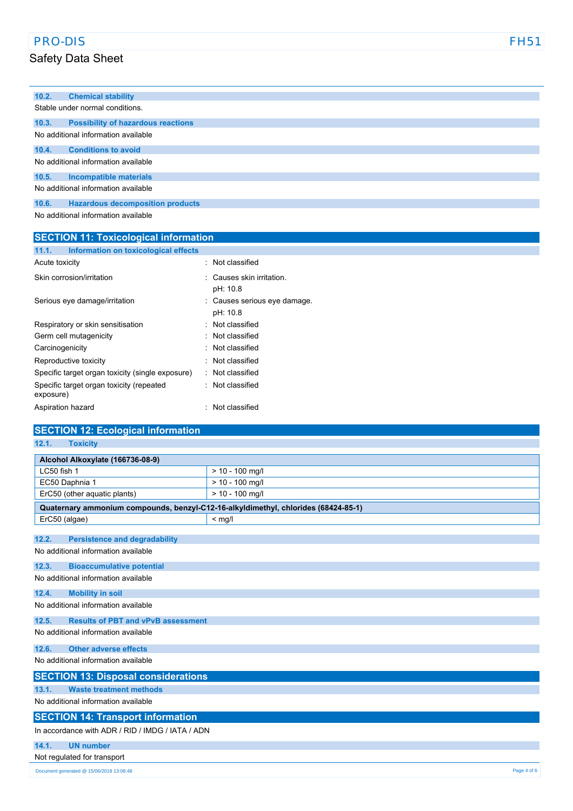# PRO-DIS FH51

# Safety Data Sheet

| 10.2.                               | <b>Chemical stability</b>                    |                                       |
|-------------------------------------|----------------------------------------------|---------------------------------------|
|                                     | Stable under normal conditions.              |                                       |
| 10.3.                               | <b>Possibility of hazardous reactions</b>    |                                       |
|                                     | No additional information available          |                                       |
| 10.4.                               | <b>Conditions to avoid</b>                   |                                       |
|                                     | No additional information available          |                                       |
| 10.5.                               | <b>Incompatible materials</b>                |                                       |
| No additional information available |                                              |                                       |
| 10.6.                               | <b>Hazardous decomposition products</b>      |                                       |
|                                     | No additional information available          |                                       |
|                                     | <b>SECTION 11: Toxicological information</b> |                                       |
| 11.1.                               | Information on toxicological effects         |                                       |
| Acute toxicity                      |                                              | : Not classified                      |
|                                     | Skin corrosion/irritation                    | : Causes skin irritation.<br>pH: 10.8 |
|                                     | Serious eye damage/irritation                | : Causes serious eye damage.          |

| Serious eye damage/irritation                         | : Causes serious et |
|-------------------------------------------------------|---------------------|
|                                                       | pH: 10.8            |
| Respiratory or skin sensitisation                     | : Not classified    |
| Germ cell mutagenicity                                | . Not classified    |
| Carcinogenicity                                       | : Not classified    |
| Reproductive toxicity                                 | . Not classified    |
| Specific target organ toxicity (single exposure)      | : Not classified    |
| Specific target organ toxicity (repeated<br>exposure) | : Not classified    |
| Aspiration hazard                                     | : Not classified    |
|                                                       |                     |

| <b>SECTION 12: Ecological information</b>                                          |                   |  |
|------------------------------------------------------------------------------------|-------------------|--|
| 12.1.<br><b>Toxicity</b>                                                           |                   |  |
| Alcohol Alkoxylate (166736-08-9)                                                   |                   |  |
| LC50 fish 1                                                                        | $> 10 - 100$ mg/l |  |
| EC50 Daphnia 1                                                                     | $> 10 - 100$ mg/l |  |
| ErC50 (other aquatic plants)                                                       | $> 10 - 100$ mg/l |  |
| Quaternary ammonium compounds, benzyl-C12-16-alkyldimethyl, chlorides (68424-85-1) |                   |  |
| ErC50 (algae)                                                                      | $<$ mg/l          |  |
|                                                                                    |                   |  |
| 12.2.<br><b>Persistence and degradability</b>                                      |                   |  |
| No additional information available                                                |                   |  |
| 12.3.<br><b>Bioaccumulative potential</b>                                          |                   |  |
| No additional information available                                                |                   |  |
| 12.4.<br><b>Mobility in soil</b>                                                   |                   |  |
| No additional information available                                                |                   |  |
| <b>Results of PBT and vPvB assessment</b><br>12.5.                                 |                   |  |
| No additional information available                                                |                   |  |
| <b>Other adverse effects</b><br>12.6.                                              |                   |  |
| No additional information available                                                |                   |  |
| <b>SECTION 13: Disposal considerations</b>                                         |                   |  |
| <b>Waste treatment methods</b><br>13.1.                                            |                   |  |
| No additional information available                                                |                   |  |
| <b>SECTION 14: Transport information</b>                                           |                   |  |
| In accordance with ADR / RID / IMDG / IATA / ADN                                   |                   |  |
| 14.1.<br><b>UN number</b>                                                          |                   |  |
| Not regulated for transport                                                        |                   |  |
| Document generated @ 15/06/2018 13:08:48                                           | Page 4 of 6       |  |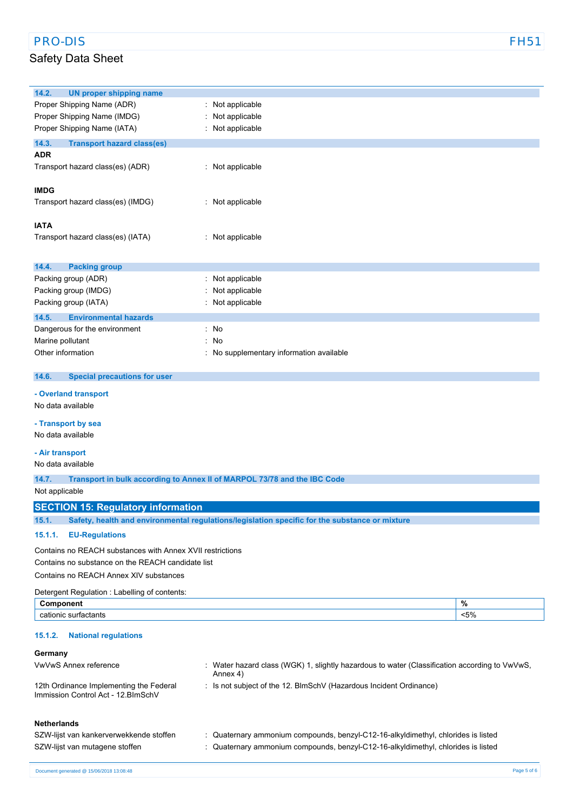# Safety Data Sheet

| 14.2.<br><b>UN proper shipping name</b>                   |                                                                                                |         |
|-----------------------------------------------------------|------------------------------------------------------------------------------------------------|---------|
| Proper Shipping Name (ADR)                                | Not applicable                                                                                 |         |
| Proper Shipping Name (IMDG)                               | Not applicable                                                                                 |         |
| Proper Shipping Name (IATA)                               | Not applicable                                                                                 |         |
| 14.3.<br><b>Transport hazard class(es)</b>                |                                                                                                |         |
| ADR                                                       |                                                                                                |         |
| Transport hazard class(es) (ADR)                          | : Not applicable                                                                               |         |
|                                                           |                                                                                                |         |
| <b>IMDG</b>                                               |                                                                                                |         |
| Transport hazard class(es) (IMDG)                         | : Not applicable                                                                               |         |
|                                                           |                                                                                                |         |
| <b>IATA</b>                                               |                                                                                                |         |
| Transport hazard class(es) (IATA)                         | : Not applicable                                                                               |         |
|                                                           |                                                                                                |         |
|                                                           |                                                                                                |         |
| <b>Packing group</b><br>14.4.                             |                                                                                                |         |
| Packing group (ADR)<br>Packing group (IMDG)               | Not applicable                                                                                 |         |
|                                                           | Not applicable<br>Not applicable                                                               |         |
| Packing group (IATA)                                      |                                                                                                |         |
| 14.5.<br><b>Environmental hazards</b>                     |                                                                                                |         |
| Dangerous for the environment                             | : No                                                                                           |         |
| Marine pollutant                                          | No                                                                                             |         |
| Other information                                         | No supplementary information available                                                         |         |
|                                                           |                                                                                                |         |
| 14.6.<br><b>Special precautions for user</b>              |                                                                                                |         |
| - Overland transport                                      |                                                                                                |         |
| No data available                                         |                                                                                                |         |
| - Transport by sea                                        |                                                                                                |         |
| No data available                                         |                                                                                                |         |
|                                                           |                                                                                                |         |
| - Air transport                                           |                                                                                                |         |
| No data available                                         |                                                                                                |         |
| 14.7.                                                     | Transport in bulk according to Annex II of MARPOL 73/78 and the IBC Code                       |         |
| Not applicable                                            |                                                                                                |         |
| <b>SECTION 15: Regulatory information</b>                 |                                                                                                |         |
| 15.1.                                                     | Safety, health and environmental regulations/legislation specific for the substance or mixture |         |
| 15.1.1.<br><b>EU-Regulations</b>                          |                                                                                                |         |
|                                                           |                                                                                                |         |
| Contains no REACH substances with Annex XVII restrictions |                                                                                                |         |
| Contains no substance on the REACH candidate list         |                                                                                                |         |
| Contains no REACH Annex XIV substances                    |                                                                                                |         |
| Detergent Regulation: Labelling of contents:              |                                                                                                |         |
| Component                                                 |                                                                                                | %       |
| cationic surfactants                                      |                                                                                                | $< 5\%$ |
| 15.1.2.<br><b>National regulations</b>                    |                                                                                                |         |
| Germany                                                   |                                                                                                |         |
| VwVwS Annex reference                                     | Water hazard class (WGK) 1, slightly hazardous to water (Classification according to VwVwS,    |         |
|                                                           | Annex 4)                                                                                       |         |
| 12th Ordinance Implementing the Federal                   | : Is not subject of the 12. BlmSchV (Hazardous Incident Ordinance)                             |         |
| Immission Control Act - 12. BlmSchV                       |                                                                                                |         |
|                                                           |                                                                                                |         |
| <b>Netherlands</b>                                        |                                                                                                |         |
| SZW-lijst van kankerverwekkende stoffen                   | : Quaternary ammonium compounds, benzyl-C12-16-alkyldimethyl, chlorides is listed              |         |